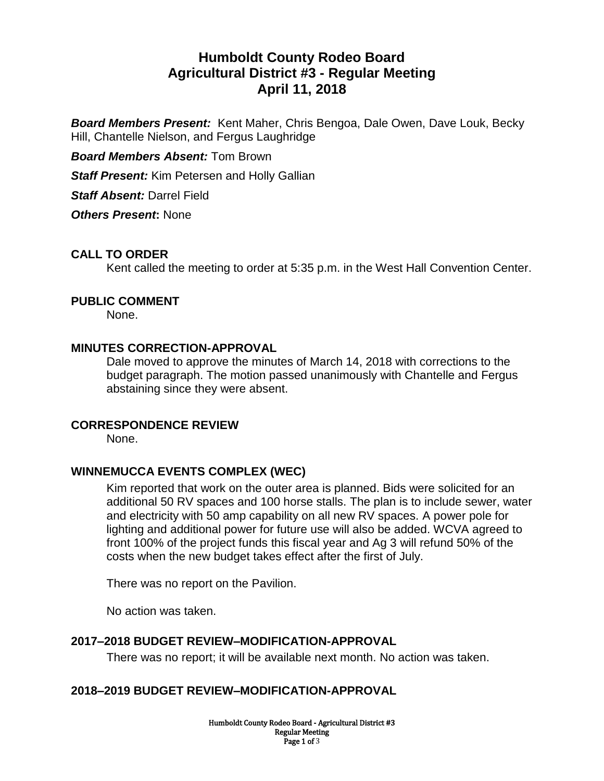# **Humboldt County Rodeo Board Agricultural District #3 - Regular Meeting April 11, 2018**

*Board Members Present:* Kent Maher, Chris Bengoa, Dale Owen, Dave Louk, Becky Hill, Chantelle Nielson, and Fergus Laughridge

*Board Members Absent:* Tom Brown

*Staff Present:* Kim Petersen and Holly Gallian

*Staff Absent:* Darrel Field

*Others Present***:** None

# **CALL TO ORDER**

Kent called the meeting to order at 5:35 p.m. in the West Hall Convention Center.

#### **PUBLIC COMMENT**

None.

#### **MINUTES CORRECTION-APPROVAL**

Dale moved to approve the minutes of March 14, 2018 with corrections to the budget paragraph. The motion passed unanimously with Chantelle and Fergus abstaining since they were absent.

#### **CORRESPONDENCE REVIEW**

None.

## **WINNEMUCCA EVENTS COMPLEX (WEC)**

Kim reported that work on the outer area is planned. Bids were solicited for an additional 50 RV spaces and 100 horse stalls. The plan is to include sewer, water and electricity with 50 amp capability on all new RV spaces. A power pole for lighting and additional power for future use will also be added. WCVA agreed to front 100% of the project funds this fiscal year and Ag 3 will refund 50% of the costs when the new budget takes effect after the first of July.

There was no report on the Pavilion.

No action was taken.

## **2017–2018 BUDGET REVIEW–MODIFICATION-APPROVAL**

There was no report; it will be available next month. No action was taken.

## **2018–2019 BUDGET REVIEW–MODIFICATION-APPROVAL**

Humboldt County Rodeo Board - Agricultural District #3 Regular Meeting Page 1 of 3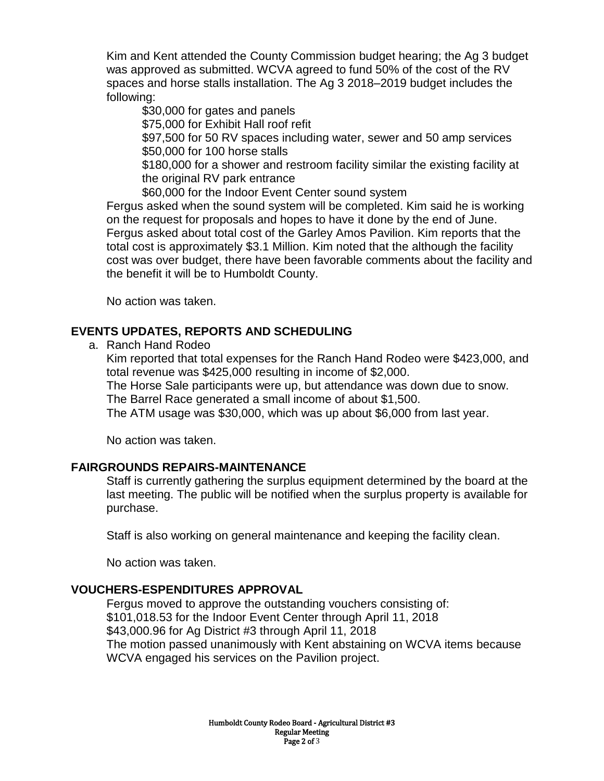Kim and Kent attended the County Commission budget hearing; the Ag 3 budget was approved as submitted. WCVA agreed to fund 50% of the cost of the RV spaces and horse stalls installation. The Ag 3 2018–2019 budget includes the following:

\$30,000 for gates and panels

\$75,000 for Exhibit Hall roof refit

\$97,500 for 50 RV spaces including water, sewer and 50 amp services \$50,000 for 100 horse stalls

\$180,000 for a shower and restroom facility similar the existing facility at the original RV park entrance

\$60,000 for the Indoor Event Center sound system

Fergus asked when the sound system will be completed. Kim said he is working on the request for proposals and hopes to have it done by the end of June. Fergus asked about total cost of the Garley Amos Pavilion. Kim reports that the total cost is approximately \$3.1 Million. Kim noted that the although the facility cost was over budget, there have been favorable comments about the facility and the benefit it will be to Humboldt County.

No action was taken.

# **EVENTS UPDATES, REPORTS AND SCHEDULING**

a. Ranch Hand Rodeo

Kim reported that total expenses for the Ranch Hand Rodeo were \$423,000, and total revenue was \$425,000 resulting in income of \$2,000.

The Horse Sale participants were up, but attendance was down due to snow. The Barrel Race generated a small income of about \$1,500.

The ATM usage was \$30,000, which was up about \$6,000 from last year.

No action was taken.

# **FAIRGROUNDS REPAIRS-MAINTENANCE**

Staff is currently gathering the surplus equipment determined by the board at the last meeting. The public will be notified when the surplus property is available for purchase.

Staff is also working on general maintenance and keeping the facility clean.

No action was taken.

# **VOUCHERS-ESPENDITURES APPROVAL**

Fergus moved to approve the outstanding vouchers consisting of: \$101,018.53 for the Indoor Event Center through April 11, 2018 \$43,000.96 for Ag District #3 through April 11, 2018 The motion passed unanimously with Kent abstaining on WCVA items because WCVA engaged his services on the Pavilion project.